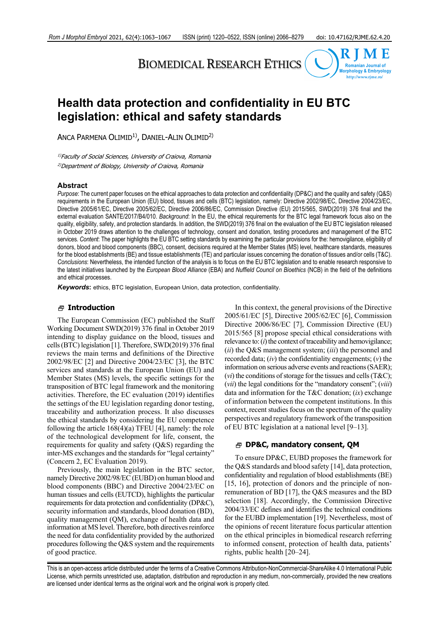# BIOMEDICAL RESEARCH ETHICS



## **Health data protection and confidentiality in EU BTC legislation: ethical and safety standards**

ANCA PARMENA OLIMID<sup>1)</sup>, DANIEL-ALIN OLIMID<sup>2)</sup>

<sup>1)</sup>Faculty of Social Sciences, University of Craiova, Romania 2)Department of Biology, University of Craiova, Romania

#### **Abstract**

*Purpose*: The current paper focuses on the ethical approaches to data protection and confidentiality (DP&C) and the quality and safety (Q&S) requirements in the European Union (EU) blood, tissues and cells (BTC) legislation, namely: Directive 2002/98/EC, Directive 2004/23/EC, Directive 2005/61/EC, Directive 2005/62/EC, Directive 2006/86/EC, Commission Directive (EU) 2015/565, SWD(2019) 376 final and the external evaluation SANTE/2017/B4/010. *Background*: In the EU, the ethical requirements for the BTC legal framework focus also on the quality, eligibility, safety, and protection standards. In addition, the SWD(2019) 376 final on the evaluation of the EU BTC legislation released in October 2019 draws attention to the challenges of technology, consent and donation, testing procedures and management of the BTC services. *Content*: The paper highlights the EU BTC setting standards by examining the particular provisions for the: hemovigilance, eligibility of donors, blood and blood components (BBC), consent, decisions required at the Member States (MS) level, healthcare standards, measures for the blood establishments (BE) and tissue establishments (TE) and particular issues concerning the donation of tissues and/or cells (T&C). *Conclusions*: Nevertheless, the intended function of the analysis is to focus on the EU BTC legislation and to enable research responsive to the latest initiatives launched by the *European Blood Alliance* (EBA) and *Nuffield Council on Bioethics* (NCB) in the field of the definitions and ethical processes.

**Keywords:** ethics, BTC legislation, European Union, data protection, confidentiality.

#### **Introduction**

The European Commission (EC) published the Staff Working Document SWD(2019) 376 final in October 2019 intending to display guidance on the blood, tissues and cells (BTC) legislation [1]. Therefore, SWD(2019) 376 final reviews the main terms and definitions of the Directive 2002/98/EC [2] and Directive 2004/23/EC [3], the BTC services and standards at the European Union (EU) and Member States (MS) levels, the specific settings for the transposition of BTC legal framework and the monitoring activities. Therefore, the EC evaluation (2019) identifies the settings of the EU legislation regarding donor testing, traceability and authorization process. It also discusses the ethical standards by considering the EU competence following the article 168(4)(a) TFEU [4], namely: the role of the technological development for life, consent, the requirements for quality and safety (Q&S) regarding the inter-MS exchanges and the standards for "legal certainty" (Concern 2, EC Evaluation 2019).

Previously, the main legislation in the BTC sector, namely Directive 2002/98/EC (EUBD) on human blood and blood components (BBC) and Directive 2004/23/EC on human tissues and cells (EUTCD), highlights the particular requirements for data protection and confidentiality (DP&C), security information and standards, blood donation (BD), quality management (QM), exchange of health data and information at MS level. Therefore, both directives reinforce the need for data confidentiality provided by the authorized procedures following the Q&S system and the requirements of good practice.

In this context, the general provisions of the Directive 2005/61/EC [5], Directive 2005/62/EC [6], Commission Directive 2006/86/EC [7], Commission Directive (EU) 2015/565 [8] propose special ethical considerations with relevance to: (*i*) the context of traceability and hemovigilance; (*ii*) the Q&S management system; (*iii*) the personnel and recorded data; (*iv*) the confidentiality engagements; (*v*) the information on serious adverse events and reactions (SAER); (*vi*) the conditions of storage for the tissues and cells (T&C); (*vii*) the legal conditions for the "mandatory consent"; (*viii*) data and information for the T&C donation; (*ix*) exchange of information between the competent institutions. In this context, recent studies focus on the spectrum of the quality perspectives and regulatory framework of the transposition of EU BTC legislation at a national level [9–13].

#### **DP&C, mandatory consent, QM**

To ensure DP&C, EUBD proposes the framework for the Q&S standards and blood safety [14], data protection, confidentiality and regulation of blood establishments (BE) [15, 16], protection of donors and the principle of nonremuneration of BD [17], the Q&S measures and the BD selection [18]. Accordingly, the Commission Directive 2004/33/EC defines and identifies the technical conditions for the EUBD implementation [19]. Nevertheless, most of the opinions of recent literature focus particular attention on the ethical principles in biomedical research referring to informed consent, protection of health data, patients' rights, public health [20–24].

This is an open-access article distributed under the terms of a Creative Commons Attribution-NonCommercial-ShareAlike 4.0 International Public License, which permits unrestricted use, adaptation, distribution and reproduction in any medium, non-commercially, provided the new creations are licensed under identical terms as the original work and the original work is properly cited.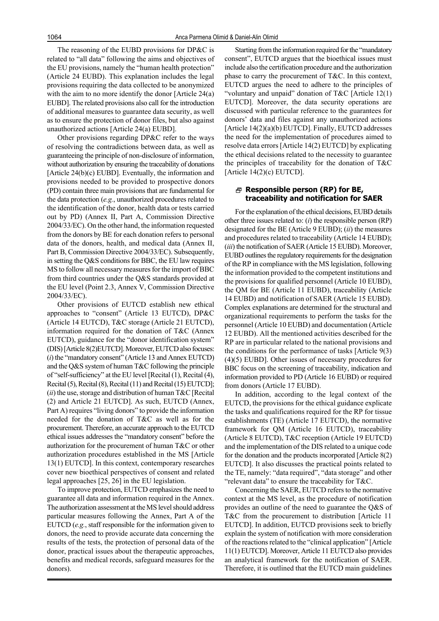The reasoning of the EUBD provisions for DP&C is related to "all data" following the aims and objectives of the EU provisions, namely the "human health protection" (Article 24 EUBD). This explanation includes the legal provisions requiring the data collected to be anonymized with the aim to no more identify the donor [Article 24(a) EUBD]. The related provisions also call for the introduction of additional measures to guarantee data security, as well as to ensure the protection of donor files, but also against unauthorized actions [Article 24(a) EUBD].

Other provisions regarding DP&C refer to the ways of resolving the contradictions between data, as well as guaranteeing the principle of non-disclosure of information, without authorization by ensuring the traceability of donations [Article 24(b)(c) EUBD]. Eventually, the information and provisions needed to be provided to prospective donors (PD) contain three main provisions that are fundamental for the data protection (*e.g.*, unauthorized procedures related to the identification of the donor, health data or tests carried out by PD) (Annex II, Part A, Commission Directive 2004/33/EC). On the other hand, the information requested from the donors by BE for each donation refers to personal data of the donors, health, and medical data (Annex II, Part B, Commission Directive 2004/33/EC). Subsequently, in setting the Q&S conditions for BBC, the EU law requires MS to follow all necessary measures for the import of BBC from third countries under the Q&S standards provided at the EU level (Point 2.3, Annex V, Commission Directive 2004/33/EC).

Other provisions of EUTCD establish new ethical approaches to "consent" (Article 13 EUTCD), DP&C (Article 14 EUTCD), T&C storage (Article 21 EUTCD), information required for the donation of T&C (Annex EUTCD), guidance for the "donor identification system" (DIS) [Article 8(2)EUTCD]. Moreover, EUTCD also focuses: (*i*) the "mandatory consent" (Article 13 and Annex EUTCD) and the Q&S system of human T&C following the principle of "self-sufficiency" at the EU level [Recital (1), Recital (4), Recital (5), Recital (8), Recital (11) and Recital (15) EUTCD]; (*ii*) the use, storage and distribution of human T&C [Recital (2) and Article 21 EUTCD]. As such, EUTCD (Annex, Part A) requires "living donors" to provide the information needed for the donation of T&C as well as for the procurement. Therefore, an accurate approach to the EUTCD ethical issues addresses the "mandatory consent" before the authorization for the procurement of human T&C or other authorization procedures established in the MS [Article 13(1) EUTCD]. In this context, contemporary researches cover new bioethical perspectives of consent and related legal approaches [25, 26] in the EU legislation.

To improve protection, EUTCD emphasizes the need to guarantee all data and information required in the Annex. The authorization assessment at the MS level should address particular measures following the Annex, Part A of the EUTCD (*e.g.*, staff responsible for the information given to donors, the need to provide accurate data concerning the results of the tests, the protection of personal data of the donor, practical issues about the therapeutic approaches, benefits and medical records, safeguard measures for the donors).

Starting from the information required for the "mandatory consent", EUTCD argues that the bioethical issues must include also the certification procedure and the authorization phase to carry the procurement of T&C. In this context, EUTCD argues the need to adhere to the principles of "voluntary and unpaid" donation of T&C [Article 12(1) EUTCD]. Moreover, the data security operations are discussed with particular reference to the guarantees for donors' data and files against any unauthorized actions [Article 14(2)(a)(b) EUTCD]. Finally, EUTCD addresses the need for the implementation of procedures aimed to resolve data errors [Article 14(2) EUTCD] by explicating the ethical decisions related to the necessity to guarantee the principles of traceability for the donation of T&C [Article 14(2)(c) EUTCD].

### **Responsible person (RP) for BE, traceability and notification for SAER**

For the explanation of the ethical decisions, EUBD details other three issues related to: (*i*) the responsible person (RP) designated for the BE (Article 9 EUBD); (*ii*) the measures and procedures related to traceability (Article 14 EUBD); (*iii*) the notification of SAER (Article 15 EUBD). Moreover, EUBD outlines the regulatory requirements for the designation of the RP in compliance with the MS legislation, following the information provided to the competent institutions and the provisions for qualified personnel (Article 10 EUBD), the QM for BE (Article 11 EUBD), traceability (Article 14 EUBD) and notification of SAER (Article 15 EUBD). Complex explanations are determined for the structural and organizational requirements to perform the tasks for the personnel (Article 10 EUBD) and documentation (Article 12 EUBD). All the mentioned activities described for the RP are in particular related to the national provisions and the conditions for the performance of tasks [Article 9(3) (4)(5) EUBD]. Other issues of necessary procedures for BBC focus on the screening of traceability, indication and information provided to PD (Article 16 EUBD) or required from donors (Article 17 EUBD).

In addition, according to the legal context of the EUTCD, the provisions for the ethical guidance explicate the tasks and qualifications required for the RP for tissue establishments (TE) (Article 17 EUTCD), the normative framework for QM (Article 16 EUTCD), traceability (Article 8 EUTCD), T&C reception (Article 19 EUTCD) and the implementation of the DIS related to a unique code for the donation and the products incorporated [Article 8(2) EUTCD]. It also discusses the practical points related to the TE, namely: "data required", "data storage" and other "relevant data" to ensure the traceability for T&C.

Concerning the SAER, EUTCD refers to the normative context at the MS level, as the procedure of notification provides an outline of the need to guarantee the Q&S of T&C from the procurement to distribution [Article 11 EUTCD]. In addition, EUTCD provisions seek to briefly explain the system of notification with more consideration of the reactions related to the "clinical application" [Article 11(1) EUTCD]. Moreover, Article 11 EUTCD also provides an analytical framework for the notification of SAER. Therefore, it is outlined that the EUTCD main guidelines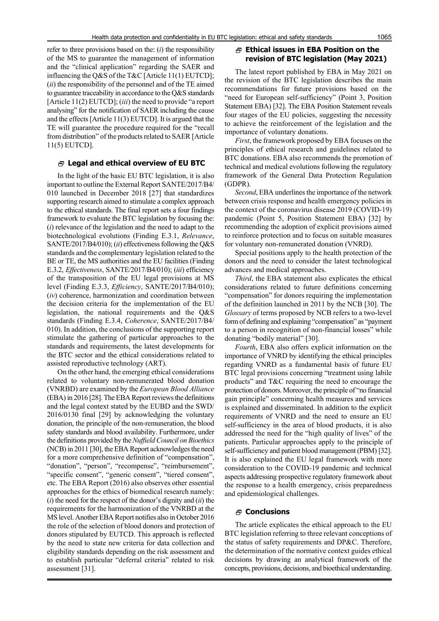refer to three provisions based on the: (*i*) the responsibility of the MS to guarantee the management of information and the "clinical application" regarding the SAER and influencing the Q&S of the T&C [Article 11(1) EUTCD]; (*ii*) the responsibility of the personnel and of the TE aimed to guarantee traceability in accordance to the Q&S standards [Article 11(2) EUTCD]; (*iii*) the need to provide "a report analysing" for the notification of SAER including the cause and the effects [Article 11(3) EUTCD]. It is argued that the TE will guarantee the procedure required for the "recall from distribution" of the products related to SAER [Article 11(5) EUTCD].

#### **Legal and ethical overview of EU BTC**

In the light of the basic EU BTC legislation, it is also important to outline the External Report SANTE/2017/B4/ 010 launched in December 2018 [27] that standardizes supporting research aimed to stimulate a complex approach to the ethical standards. The final report sets a four findings framework to evaluate the BTC legislation by focusing the: (*i*) relevance of the legislation and the need to adapt to the biotechnological evolutions (Finding E.3.1, *Relevance*, SANTE/2017/B4/010); (*ii*) effectiveness following the Q&S standards and the complementary legislation related to the BE or TE, the MS authorities and the EU facilities (Finding E.3.2, *Effectiveness*, SANTE/2017/B4/010); (*iii*) efficiency of the transposition of the EU legal provisions at MS level (Finding E.3.3, *Efficiency*, SANTE/2017/B4/010); (*iv*) coherence, harmonization and coordination between the decision criteria for the implementation of the EU legislation, the national requirements and the Q&S standards (Finding E.3.4, *Coherence*, SANTE/2017/B4/ 010). In addition, the conclusions of the supporting report stimulate the gathering of particular approaches to the standards and requirements, the latest developments for the BTC sector and the ethical considerations related to assisted reproductive technology (ART).

On the other hand, the emerging ethical considerations related to voluntary non-remunerated blood donation (VNRBD) are examined by the *European Blood Alliance* (EBA) in 2016 [28]. The EBA Report reviews the definitions and the legal context stated by the EUBD and the SWD/ 2016/0130 final [29] by acknowledging the voluntary donation, the principle of the non-remuneration, the blood safety standards and blood availability. Furthermore, under the definitions provided by the *Nuffield Council on Bioethics* (NCB) in 2011 [30], the EBA Report acknowledges the need for a more comprehensive definition of "compensation", "donation", "person", "recompense", "reimbursement", "specific consent", "generic consent", "tiered consent", etc. The EBA Report (2016) also observes other essential approaches for the ethics of biomedical research namely: (*i*) the need for the respect of the donor's dignity and (*ii*) the requirements for the harmonization of the VNRBD at the MS level. Another EBA Report notifies also in October 2016 the role of the selection of blood donors and protection of donors stipulated by EUTCD. This approach is reflected by the need to state new criteria for data collection and eligibility standards depending on the risk assessment and to establish particular "deferral criteria" related to risk assessment [31].

## **Ethical issues in EBA Position on the revision of BTC legislation (May 2021)**

The latest report published by EBA in May 2021 on the revision of the BTC legislation describes the main recommendations for future provisions based on the "need for European self-sufficiency" (Point 3, Position Statement EBA) [32]. The EBA Position Statement reveals four stages of the EU policies, suggesting the necessity to achieve the reinforcement of the legislation and the importance of voluntary donations.

*First*, the framework proposed by EBA focuses on the principles of ethical research and guidelines related to BTC donations. EBA also recommends the promotion of technical and medical evolutions following the regulatory framework of the General Data Protection Regulation (GDPR).

*Second*, EBA underlines the importance of the network between crisis response and health emergency policies in the context of the coronavirus disease 2019 (COVID-19) pandemic (Point 5, Position Statement EBA) [32] by recommending the adoption of explicit provisions aimed to reinforce protection and to focus on suitable measures for voluntary non-remunerated donation (VNRD).

Special positions apply to the health protection of the donors and the need to consider the latest technological advances and medical approaches.

*Third*, the EBA statement also explicates the ethical considerations related to future definitions concerning "compensation" for donors requiring the implementation of the definition launched in 2011 by the NCB [30]. The *Glossary* of terms proposed by NCB refers to a two-level form of defining and explaining "compensation" as "payment to a person in recognition of non-financial losses" while donating "bodily material" [30].

*Fourth*, EBA also offers explicit information on the importance of VNRD by identifying the ethical principles regarding VNRD as a fundamental basis of future EU BTC legal provisions concerning "treatment using labile products" and T&C requiring the need to encourage the protection of donors. Moreover, the principle of "no financial gain principle" concerning health measures and services is explained and disseminated. In addition to the explicit requirements of VNRD and the need to ensure an EU self-sufficiency in the area of blood products, it is also addressed the need for the "high quality of lives" of the patients. Particular approaches apply to the principle of self-sufficiency and patient blood management (PBM) [32]. It is also explained the EU legal framework with more consideration to the COVID-19 pandemic and technical aspects addressing prospective regulatory framework about the response to a health emergency, crisis preparedness and epidemiological challenges.

## **Conclusions**

The article explicates the ethical approach to the EU BTC legislation referring to three relevant conceptions of the status of safety requirements and DP&C. Therefore, the determination of the normative context guides ethical decisions by drawing an analytical framework of the concepts, provisions, decisions, and bioethical understanding.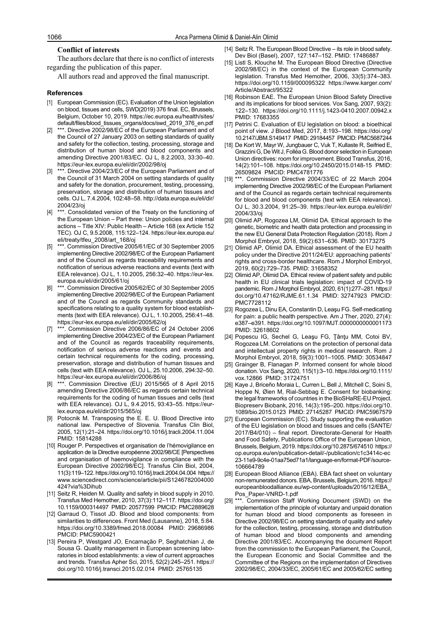#### **Conflict of interests**

The authors declare that there is no conflict of interests regarding the publication of this paper.

All authors read and approved the final manuscript.

#### **References**

- [1] European Commission (EC). Evaluation of the Union legislation on blood, tissues and cells, SWD(2019) 376 final. EC, Brussels, Belgium, October 10, 2019. https://ec.europa.eu/health/sites/ default/files/blood\_tissues\_organs/docs/swd\_2019\_376\_en.pdf
- \*\*\*. Directive 2002/98/EC of the European Parliament and of the Council of 27 January 2003 on setting standards of quality and safety for the collection, testing, processing, storage and distribution of human blood and blood components and amending Directive 2001/83/EC. OJ L, 8.2.2003, 33:30–40. https://eur-lex.europa.eu/eli/dir/2002/98/oj
- \*\*\*. Directive 2004/23/EC of the European Parliament and of the Council of 31 March 2004 on setting standards of quality and safety for the donation, procurement, testing, processing, preservation, storage and distribution of human tissues and cells. OJ L, 7.4.2004, 102:48–58. http://data.europa.eu/eli/dir/ 2004/23/oj
- \*\*\*. Consolidated version of the Treaty on the functioning of the European Union – Part three: Union policies and internal actions – Title XIV: Public Health – Article 168 (ex Article 152 TEC). OJ C, 9.5.2008, 115:122–124. https://eur-lex.europa.eu/ eli/treaty/tfeu\_2008/art\_168/oj
- [5] \*\*\*. Commission Directive 2005/61/EC of 30 September 2005 implementing Directive 2002/98/EC of the European Parliament and of the Council as regards traceability requirements and notification of serious adverse reactions and events (text with EEA relevance). OJ L, 1.10.2005, 256:32–40. https://eur-lex. europa.eu/eli/dir/2005/61/oj
- [6] \*\*\*. Commission Directive 2005/62/EC of 30 September 2005 implementing Directive 2002/98/EC of the European Parliament and of the Council as regards Community standards and specifications relating to a quality system for blood establishments (text with EEA relevance). OJ L, 1.10.2005, 256:41–48. https://eur-lex.europa.eu/eli/dir/2005/62/oj
- [7] \*\*\*. Commission Directive 2006/86/EC of 24 October 2006 implementing Directive 2004/23/EC of the European Parliament and of the Council as regards traceability requirements, notification of serious adverse reactions and events and certain technical requirements for the coding, processing, preservation, storage and distribution of human tissues and cells (text with EEA relevance). OJ L, 25.10.2006, 294:32–50. https://eur-lex.europa.eu/eli/dir/2006/86/oj
- [8] \*\*\*. Commission Directive (EU) 2015/565 of 8 April 2015 amending Directive 2006/86/EC as regards certain technical requirements for the coding of human tissues and cells (text with EEA relevance). OJ L, 9.4.2015, 93:43–55. https://eurlex.europa.eu/eli/dir/2015/565/oj
- [9] Potocnik M. Transposing the E. E. U. Blood Directive into national law. Perspective of Slovenia. Transfus Clin Biol, 2005, 12(1):21–24. https://doi.org/10.1016/j.tracli.2004.11.004 PMID: 15814288
- [10] Rouger P. Perspectives et organisation de l'hémovigilance en application de la Directive européenne 2002/98/CE [Perspectives and organisation of haemovigilance in compliance with the European Directive 2002/98/EC]. Transfus Clin Biol, 2004, 11(3):119–122. https://doi.org/10.1016/j.tracli.2004.04.004 https:// www.sciencedirect.com/science/article/pii/S1246782004000 424?via%3Dihub
- [11] Seitz R, Heiden M. Quality and safety in blood supply in 2010. Transfus Med Hemother, 2010, 37(3):112–117. https://doi.org/ 10.1159/000314497 PMID: 20577599 PMCID: PMC2889628
- [12] Garraud O, Tissot JD. Blood and blood components: from similarities to differences. Front Med (Lausanne), 2018, 5:84. https://doi.org/10.3389/fmed.2018.00084 PMID: 29686986 PMCID: PMC5900421
- [13] Pereira P, Westgard JO, Encarnação P, Seghatchian J, de Sousa G. Quality management in European screening laboratories in blood establishments: a view of current approaches and trends. Transfus Apher Sci, 2015, 52(2):245–251. https:// doi.org/10.1016/j.transci.2015.02.014 PMID: 25765135
- [14] Seitz R. The European Blood Directive its role in blood safety. Dev Biol (Basel), 2007, 127:147–152. PMID: 17486887
- [15] Listl S, Klouche M. The European Blood Directive (Directive 2002/98/EC) in the context of the European Community legislation. Transfus Med Hemother, 2006, 33(5):374–383. https://doi.org/10.1159/000095322 https://www.karger.com/ Article/Abstract/95322
- [16] Robinson EAE. The European Union Blood Safety Directive and its implications for blood services. Vox Sang, 2007, 93(2): 122–130. https://doi.org/10.1111/j.1423-0410.2007.00942.x PMID: 17683355
- [17] Petrini C. Evaluation of EU legislation on blood: a bioethical point of view. J Blood Med, 2017, 8:193–198. https://doi.org/ 10.2147/JBM.S149417 PMID: 29184457 PMCID: PMC5687244
- [18] De Kort W, Mayr W, Jungbauer C, Vuk T, Kullaste R, Seifried E, Grazzini G, De Wit J, Folléa G. Blood donor selection in European Union directives: room for improvement. Blood Transfus, 2016, 14(2):101–108. https://doi.org/10.2450/2015.0148-15 PMID: 26509824 PMCID: PMC4781776
- [19] \*\*\*. Commission Directive 2004/33/EC of 22 March 2004 implementing Directive 2002/98/EC of the European Parliament and of the Council as regards certain technical requirements for blood and blood components (text with EEA relevance). OJ L, 30.3.2004, 91:25–39. https://eur-lex.europa.eu/eli/dir/ 2004/33/oj
- [20] Olimid AP, Rogozea LM, Olimid DA. Ethical approach to the genetic, biometric and health data protection and processing in the new EU General Data Protection Regulation (2018). Rom J Morphol Embryol, 2018, 59(2):631–636. PMID: 30173275
- [21] Olimid AP, Olimid DA. Ethical assessment of the EU health policy under the Directive 2011/24/EU: approaching patients' rights and cross-border healthcare. Rom J Morphol Embryol, 2019, 60(2):729–735. PMID: 31658352
- [22] Olimid AP, Olimid DA. Ethical review of patient safety and public health in EU clinical trials legislation: impact of COVID-19 pandemic. Rom J Morphol Embryol, 2020, 61(1):277–281. https:// doi.org/10.47162/RJME.61.1.34 PMID: 32747923 PMCID: PMC7728112
- [23] Rogozea L, Dinu EA, Constantin D, Leaşu FG. Self-medicating for pain: a public health perspective. Am J Ther, 2020, 27(4): e387–e391. https://doi.org/10.1097/MJT.0000000000001173 PMID: 32618602
- [24] Popescu IG, Sechel G, Leaşu FG, Ţânţu MM, Cotoi BV, Rogozea LM. Correlations on the protection of personal data and intellectual property rights in medical research. Rom J Morphol Embryol, 2018, 59(3):1001–1005. PMID: 30534847
- [25] Grainger B, Flanagan P. Informed consent for whole blood donation. Vox Sang, 2020, 115(1):3–10. https://doi.org/10.1111/ vox.12866 PMID: 31724751
- [26] Kaye J, Briceño Moraia L, Curren L, Bell J, Mitchell C, Soini S, Hoppe N, Øien M, Rial-Sebbag E. Consent for biobanking: the legal frameworks of countries in the BioSHaRE-EU Project. Biopreserv Biobank, 2016, 14(3):195–200. https://doi.org/10. 1089/bio.2015.0123 PMID: 27145287 PMCID: PMC5967579
- [27] European Commission (EC). Study supporting the evaluation of the EU legislation on blood and tissues and cells (SANTE/ 2017/B4/010) – final report. Directorate-General for Health and Food Safety, Publications Office of the European Union, Brussels, Belgium, 2019. https://doi.org/10.2875/674510 https:// op.europa.eu/en/publication-detail/-/publication/c1c3414c-ec 23-11e9-9c4e-01aa75ed71a1/language-en/format-PDF/source-106664789
- [28] European Blood Alliance (EBA). EBA fact sheet on voluntary non-remunerated donors. EBA, Brussels, Belgium, 2016. https:// europeanbloodalliance.eu/wp-content/uploads/2016/12/EBA\_ Pos\_Paper-VNRD-1.pdf
- [29] \*\*\*. Commission Staff Working Document (SWD) on the implementation of the principle of voluntary and unpaid donation for human blood and blood components as foreseen in Directive 2002/98/EC on setting standards of quality and safety for the collection, testing, processing, storage and distribution of human blood and blood components and amending Directive 2001/83/EC. Accompanying the document Report from the commission to the European Parliament, the Council, the European Economic and Social Committee and the Committee of the Regions on the implementation of Directives 2002/98/EC, 2004/33/EC, 2005/61/EC and 2005/62/EC setting